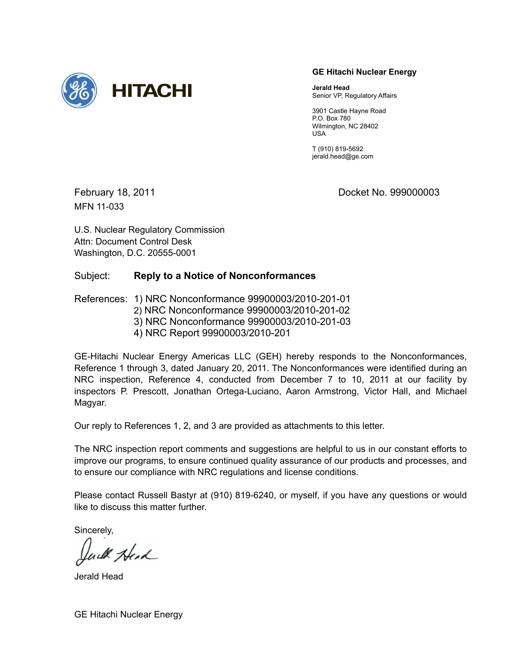

#### **GE Hitachi Nuclear Energy**

**Jerald Head**  Senior VP, Regulatory Affairs

3901 Castle Hayne Road P.O. Box 780 Wilmington, NC 28402 USA

T (910) 819-5692 jerald.head@ge.com

MFN 11-033

February 18, 2011 Docket No. 999000003

U.S. Nuclear Regulatory Commission Attn: Document Control Desk Washington, D.C. 20555-0001

# Subject: **Reply to a Notice of Nonconformances**

# References: 1) NRC Nonconformance 99900003/2010-201-01

- 2) NRC Nonconformance 99900003/2010-201-02
- 3) NRC Nonconformance 99900003/2010-201-03
- 4) NRC Report 99900003/2010-201

GE-Hitachi Nuclear Energy Americas LLC (GEH) hereby responds to the Nonconformances, Reference 1 through 3, dated January 20, 2011. The Nonconformances were identified during an NRC inspection, Reference 4, conducted from December 7 to 10, 2011 at our facility by inspectors P. Prescott, Jonathan Ortega-Luciano, Aaron Armstrong, Victor Hall, and Michael Magyar.

Our reply to References 1, 2, and 3 are provided as attachments to this letter.

The NRC inspection report comments and suggestions are helpful to us in our constant efforts to improve our programs, to ensure continued quality assurance of our products and processes, and to ensure our compliance with NRC regulations and license conditions.

Please contact Russell Bastyr at (910) 819-6240, or myself, if you have any questions or would like to discuss this matter further.

Sincerely,

with Head

Jerald Head

GE Hitachi Nuclear Energy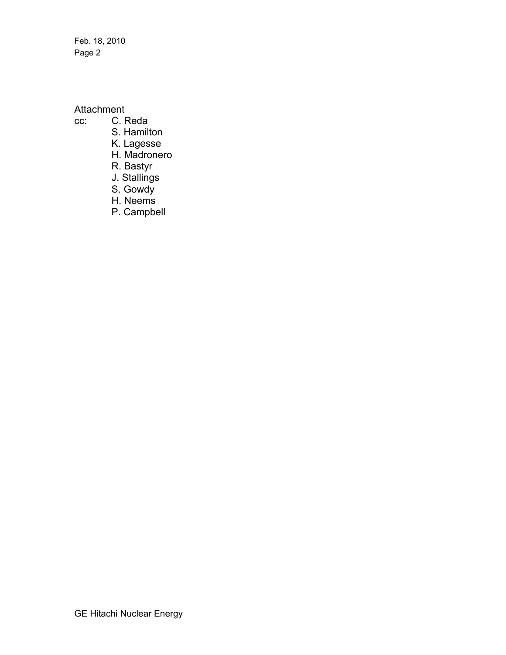**Attachment** 

- cc: C. Reda
	- S. Hamilton
	- K. Lagesse
	- H. Madronero
	- R. Bastyr
- J. Stallings
- S. Gowdy
	- H. Neems
	- P. Campbell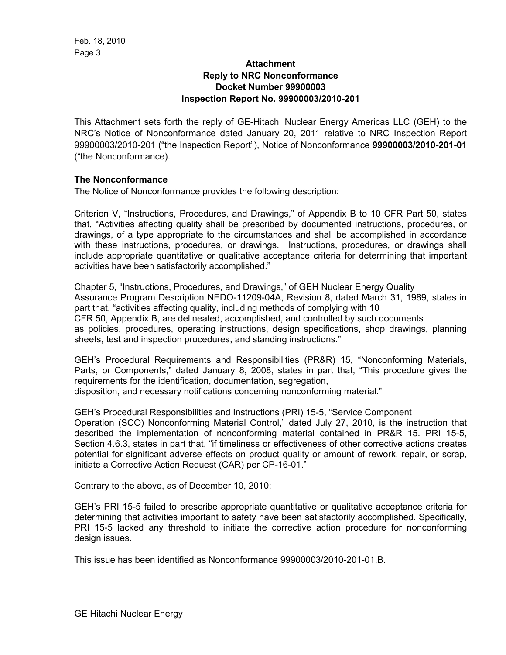# **Attachment Reply to NRC Nonconformance Docket Number 99900003 Inspection Report No. 99900003/2010-201**

This Attachment sets forth the reply of GE-Hitachi Nuclear Energy Americas LLC (GEH) to the NRC's Notice of Nonconformance dated January 20, 2011 relative to NRC Inspection Report 99900003/2010-201 ("the Inspection Report"), Notice of Nonconformance **99900003/2010-201-01** ("the Nonconformance).

# **The Nonconformance**

The Notice of Nonconformance provides the following description:

Criterion V, "Instructions, Procedures, and Drawings," of Appendix B to 10 CFR Part 50, states that, "Activities affecting quality shall be prescribed by documented instructions, procedures, or drawings, of a type appropriate to the circumstances and shall be accomplished in accordance with these instructions, procedures, or drawings. Instructions, procedures, or drawings shall include appropriate quantitative or qualitative acceptance criteria for determining that important activities have been satisfactorily accomplished."

Chapter 5, "Instructions, Procedures, and Drawings," of GEH Nuclear Energy Quality Assurance Program Description NEDO-11209-04A, Revision 8, dated March 31, 1989, states in part that, "activities affecting quality, including methods of complying with 10 CFR 50, Appendix B, are delineated, accomplished, and controlled by such documents as policies, procedures, operating instructions, design specifications, shop drawings, planning sheets, test and inspection procedures, and standing instructions."

GEH's Procedural Requirements and Responsibilities (PR&R) 15, "Nonconforming Materials, Parts, or Components," dated January 8, 2008, states in part that, "This procedure gives the requirements for the identification, documentation, segregation, disposition, and necessary notifications concerning nonconforming material."

GEH's Procedural Responsibilities and Instructions (PRI) 15-5, "Service Component Operation (SCO) Nonconforming Material Control," dated July 27, 2010, is the instruction that described the implementation of nonconforming material contained in PR&R 15. PRI 15-5, Section 4.6.3, states in part that, "if timeliness or effectiveness of other corrective actions creates potential for significant adverse effects on product quality or amount of rework, repair, or scrap, initiate a Corrective Action Request (CAR) per CP-16-01."

Contrary to the above, as of December 10, 2010:

GEH's PRI 15-5 failed to prescribe appropriate quantitative or qualitative acceptance criteria for determining that activities important to safety have been satisfactorily accomplished. Specifically, PRI 15-5 lacked any threshold to initiate the corrective action procedure for nonconforming design issues.

This issue has been identified as Nonconformance 99900003/2010-201-01.B.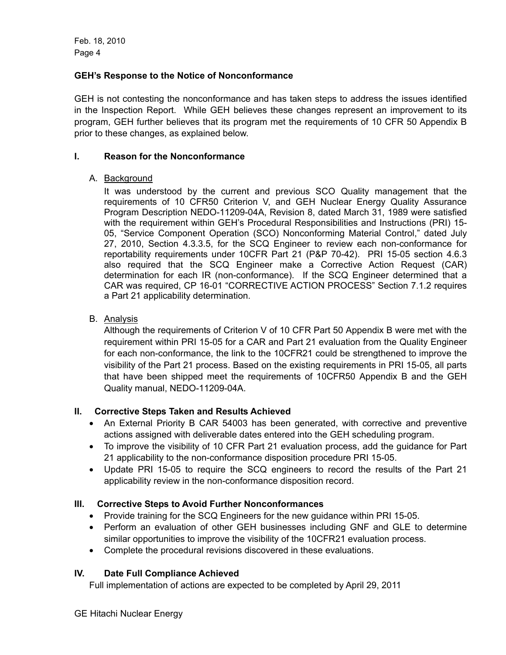# **GEH's Response to the Notice of Nonconformance**

GEH is not contesting the nonconformance and has taken steps to address the issues identified in the Inspection Report. While GEH believes these changes represent an improvement to its program, GEH further believes that its program met the requirements of 10 CFR 50 Appendix B prior to these changes, as explained below.

# **I. Reason for the Nonconformance**

# A. Background

It was understood by the current and previous SCO Quality management that the requirements of 10 CFR50 Criterion V, and GEH Nuclear Energy Quality Assurance Program Description NEDO-11209-04A, Revision 8, dated March 31, 1989 were satisfied with the requirement within GEH's Procedural Responsibilities and Instructions (PRI) 15- 05, "Service Component Operation (SCO) Nonconforming Material Control," dated July 27, 2010, Section 4.3.3.5, for the SCQ Engineer to review each non-conformance for reportability requirements under 10CFR Part 21 (P&P 70-42). PRI 15-05 section 4.6.3 also required that the SCQ Engineer make a Corrective Action Request (CAR) determination for each IR (non-conformance). If the SCQ Engineer determined that a CAR was required, CP 16-01 "CORRECTIVE ACTION PROCESS" Section 7.1.2 requires a Part 21 applicability determination.

# B. Analysis

Although the requirements of Criterion V of 10 CFR Part 50 Appendix B were met with the requirement within PRI 15-05 for a CAR and Part 21 evaluation from the Quality Engineer for each non-conformance, the link to the 10CFR21 could be strengthened to improve the visibility of the Part 21 process. Based on the existing requirements in PRI 15-05, all parts that have been shipped meet the requirements of 10CFR50 Appendix B and the GEH Quality manual, NEDO-11209-04A.

# **II. Corrective Steps Taken and Results Achieved**

- An External Priority B CAR 54003 has been generated, with corrective and preventive actions assigned with deliverable dates entered into the GEH scheduling program.
- To improve the visibility of 10 CFR Part 21 evaluation process, add the guidance for Part 21 applicability to the non-conformance disposition procedure PRI 15-05.
- Update PRI 15-05 to require the SCQ engineers to record the results of the Part 21 applicability review in the non-conformance disposition record.

# **III. Corrective Steps to Avoid Further Nonconformances**

- Provide training for the SCQ Engineers for the new guidance within PRI 15-05.
- Perform an evaluation of other GEH businesses including GNF and GLE to determine similar opportunities to improve the visibility of the 10CFR21 evaluation process.
- Complete the procedural revisions discovered in these evaluations.

# **IV. Date Full Compliance Achieved**

Full implementation of actions are expected to be completed by April 29, 2011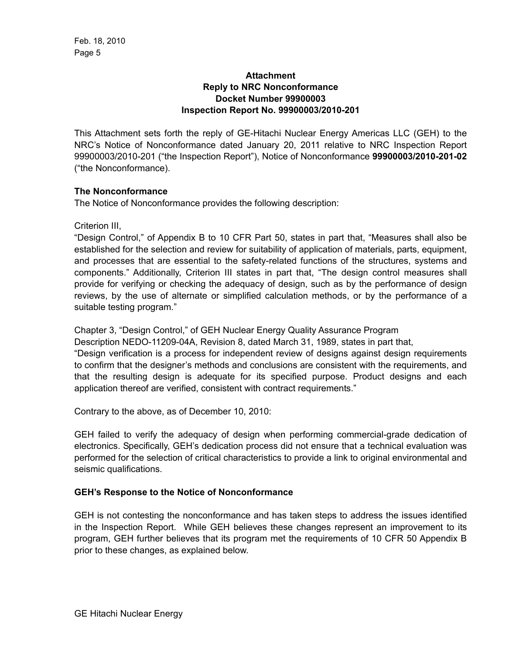# **Attachment Reply to NRC Nonconformance Docket Number 99900003 Inspection Report No. 99900003/2010-201**

This Attachment sets forth the reply of GE-Hitachi Nuclear Energy Americas LLC (GEH) to the NRC's Notice of Nonconformance dated January 20, 2011 relative to NRC Inspection Report 99900003/2010-201 ("the Inspection Report"), Notice of Nonconformance **99900003/2010-201-02** ("the Nonconformance).

# **The Nonconformance**

The Notice of Nonconformance provides the following description:

Criterion III,

"Design Control," of Appendix B to 10 CFR Part 50, states in part that, "Measures shall also be established for the selection and review for suitability of application of materials, parts, equipment, and processes that are essential to the safety-related functions of the structures, systems and components." Additionally, Criterion III states in part that, "The design control measures shall provide for verifying or checking the adequacy of design, such as by the performance of design reviews, by the use of alternate or simplified calculation methods, or by the performance of a suitable testing program."

Chapter 3, "Design Control," of GEH Nuclear Energy Quality Assurance Program Description NEDO-11209-04A, Revision 8, dated March 31, 1989, states in part that, "Design verification is a process for independent review of designs against design requirements to confirm that the designer's methods and conclusions are consistent with the requirements, and that the resulting design is adequate for its specified purpose. Product designs and each application thereof are verified, consistent with contract requirements."

Contrary to the above, as of December 10, 2010:

GEH failed to verify the adequacy of design when performing commercial-grade dedication of electronics. Specifically, GEH's dedication process did not ensure that a technical evaluation was performed for the selection of critical characteristics to provide a link to original environmental and seismic qualifications.

# **GEH's Response to the Notice of Nonconformance**

GEH is not contesting the nonconformance and has taken steps to address the issues identified in the Inspection Report. While GEH believes these changes represent an improvement to its program, GEH further believes that its program met the requirements of 10 CFR 50 Appendix B prior to these changes, as explained below.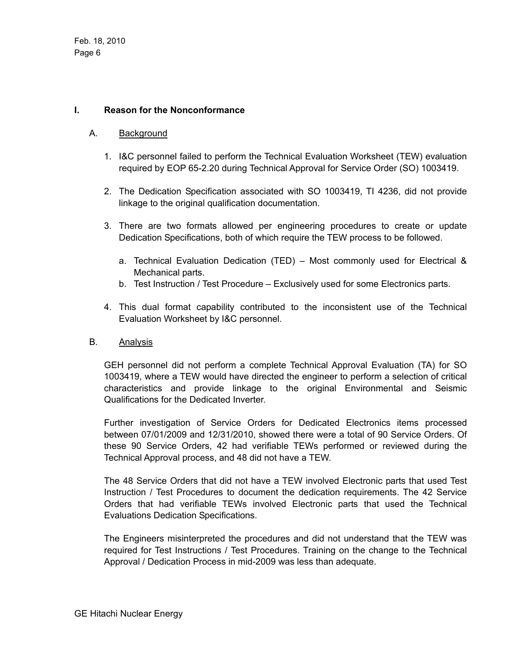### **I. Reason for the Nonconformance**

### A. Background

- 1. I&C personnel failed to perform the Technical Evaluation Worksheet (TEW) evaluation required by EOP 65-2.20 during Technical Approval for Service Order (SO) 1003419.
- 2. The Dedication Specification associated with SO 1003419, TI 4236, did not provide linkage to the original qualification documentation.
- 3. There are two formats allowed per engineering procedures to create or update Dedication Specifications, both of which require the TEW process to be followed.
	- a. Technical Evaluation Dedication (TED) Most commonly used for Electrical & Mechanical parts.
	- b. Test Instruction / Test Procedure Exclusively used for some Electronics parts.
- 4. This dual format capability contributed to the inconsistent use of the Technical Evaluation Worksheet by I&C personnel.

#### B. Analysis

GEH personnel did not perform a complete Technical Approval Evaluation (TA) for SO 1003419, where a TEW would have directed the engineer to perform a selection of critical characteristics and provide linkage to the original Environmental and Seismic Qualifications for the Dedicated Inverter.

Further investigation of Service Orders for Dedicated Electronics items processed between 07/01/2009 and 12/31/2010, showed there were a total of 90 Service Orders. Of these 90 Service Orders, 42 had verifiable TEWs performed or reviewed during the Technical Approval process, and 48 did not have a TEW.

The 48 Service Orders that did not have a TEW involved Electronic parts that used Test Instruction / Test Procedures to document the dedication requirements. The 42 Service Orders that had verifiable TEWs involved Electronic parts that used the Technical Evaluations Dedication Specifications.

The Engineers misinterpreted the procedures and did not understand that the TEW was required for Test Instructions / Test Procedures. Training on the change to the Technical Approval / Dedication Process in mid-2009 was less than adequate.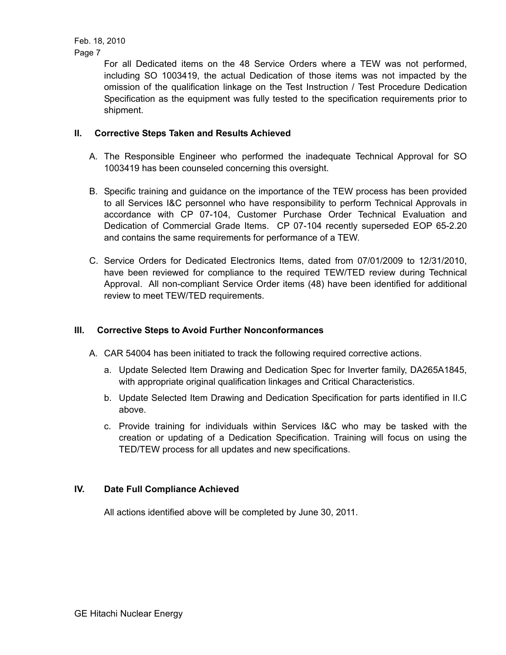> For all Dedicated items on the 48 Service Orders where a TEW was not performed, including SO 1003419, the actual Dedication of those items was not impacted by the omission of the qualification linkage on the Test Instruction / Test Procedure Dedication Specification as the equipment was fully tested to the specification requirements prior to shipment.

# **II. Corrective Steps Taken and Results Achieved**

- A. The Responsible Engineer who performed the inadequate Technical Approval for SO 1003419 has been counseled concerning this oversight.
- B. Specific training and guidance on the importance of the TEW process has been provided to all Services I&C personnel who have responsibility to perform Technical Approvals in accordance with CP 07-104, Customer Purchase Order Technical Evaluation and Dedication of Commercial Grade Items. CP 07-104 recently superseded EOP 65-2.20 and contains the same requirements for performance of a TEW.
- C. Service Orders for Dedicated Electronics Items, dated from 07/01/2009 to 12/31/2010, have been reviewed for compliance to the required TEW/TED review during Technical Approval. All non-compliant Service Order items (48) have been identified for additional review to meet TEW/TED requirements.

# **III. Corrective Steps to Avoid Further Nonconformances**

- A. CAR 54004 has been initiated to track the following required corrective actions.
	- a. Update Selected Item Drawing and Dedication Spec for Inverter family, DA265A1845, with appropriate original qualification linkages and Critical Characteristics.
	- b. Update Selected Item Drawing and Dedication Specification for parts identified in II.C above.
	- c. Provide training for individuals within Services I&C who may be tasked with the creation or updating of a Dedication Specification. Training will focus on using the TED/TEW process for all updates and new specifications.

# **IV. Date Full Compliance Achieved**

All actions identified above will be completed by June 30, 2011.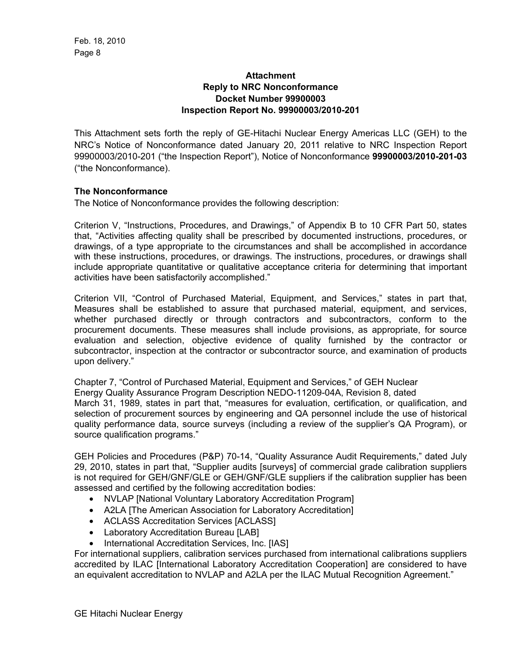# **Attachment Reply to NRC Nonconformance Docket Number 99900003 Inspection Report No. 99900003/2010-201**

This Attachment sets forth the reply of GE-Hitachi Nuclear Energy Americas LLC (GEH) to the NRC's Notice of Nonconformance dated January 20, 2011 relative to NRC Inspection Report 99900003/2010-201 ("the Inspection Report"), Notice of Nonconformance **99900003/2010-201-03** ("the Nonconformance).

# **The Nonconformance**

The Notice of Nonconformance provides the following description:

Criterion V, "Instructions, Procedures, and Drawings," of Appendix B to 10 CFR Part 50, states that, "Activities affecting quality shall be prescribed by documented instructions, procedures, or drawings, of a type appropriate to the circumstances and shall be accomplished in accordance with these instructions, procedures, or drawings. The instructions, procedures, or drawings shall include appropriate quantitative or qualitative acceptance criteria for determining that important activities have been satisfactorily accomplished."

Criterion VII, "Control of Purchased Material, Equipment, and Services," states in part that, Measures shall be established to assure that purchased material, equipment, and services, whether purchased directly or through contractors and subcontractors, conform to the procurement documents. These measures shall include provisions, as appropriate, for source evaluation and selection, objective evidence of quality furnished by the contractor or subcontractor, inspection at the contractor or subcontractor source, and examination of products upon delivery."

Chapter 7, "Control of Purchased Material, Equipment and Services," of GEH Nuclear Energy Quality Assurance Program Description NEDO-11209-04A, Revision 8, dated March 31, 1989, states in part that, "measures for evaluation, certification, or qualification, and selection of procurement sources by engineering and QA personnel include the use of historical quality performance data, source surveys (including a review of the supplier's QA Program), or source qualification programs."

GEH Policies and Procedures (P&P) 70-14, "Quality Assurance Audit Requirements," dated July 29, 2010, states in part that, "Supplier audits [surveys] of commercial grade calibration suppliers is not required for GEH/GNF/GLE or GEH/GNF/GLE suppliers if the calibration supplier has been assessed and certified by the following accreditation bodies:

- NVLAP [National Voluntary Laboratory Accreditation Program]
- A2LA [The American Association for Laboratory Accreditation]
- ACLASS Accreditation Services [ACLASS]
- Laboratory Accreditation Bureau [LAB]
- International Accreditation Services, Inc. [IAS]

For international suppliers, calibration services purchased from international calibrations suppliers accredited by ILAC [International Laboratory Accreditation Cooperation] are considered to have an equivalent accreditation to NVLAP and A2LA per the ILAC Mutual Recognition Agreement."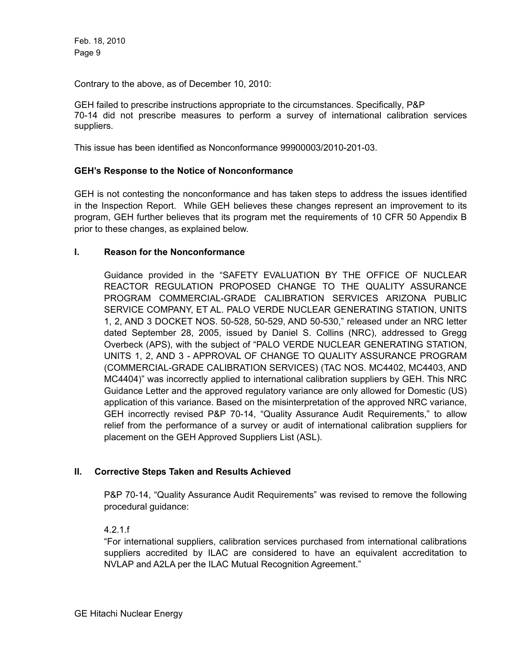Contrary to the above, as of December 10, 2010:

GEH failed to prescribe instructions appropriate to the circumstances. Specifically, P&P 70-14 did not prescribe measures to perform a survey of international calibration services suppliers.

This issue has been identified as Nonconformance 99900003/2010-201-03.

# **GEH's Response to the Notice of Nonconformance**

GEH is not contesting the nonconformance and has taken steps to address the issues identified in the Inspection Report. While GEH believes these changes represent an improvement to its program, GEH further believes that its program met the requirements of 10 CFR 50 Appendix B prior to these changes, as explained below.

# **I. Reason for the Nonconformance**

Guidance provided in the "SAFETY EVALUATION BY THE OFFICE OF NUCLEAR REACTOR REGULATION PROPOSED CHANGE TO THE QUALITY ASSURANCE PROGRAM COMMERCIAL-GRADE CALIBRATION SERVICES ARIZONA PUBLIC SERVICE COMPANY, ET AL. PALO VERDE NUCLEAR GENERATING STATION, UNITS 1, 2, AND 3 DOCKET NOS. 50-528, 50-529, AND 50-530," released under an NRC letter dated September 28, 2005, issued by Daniel S. Collins (NRC), addressed to Gregg Overbeck (APS), with the subject of "PALO VERDE NUCLEAR GENERATING STATION, UNITS 1, 2, AND 3 - APPROVAL OF CHANGE TO QUALITY ASSURANCE PROGRAM (COMMERCIAL-GRADE CALIBRATION SERVICES) (TAC NOS. MC4402, MC4403, AND MC4404)" was incorrectly applied to international calibration suppliers by GEH. This NRC Guidance Letter and the approved regulatory variance are only allowed for Domestic (US) application of this variance. Based on the misinterpretation of the approved NRC variance, GEH incorrectly revised P&P 70-14, "Quality Assurance Audit Requirements," to allow relief from the performance of a survey or audit of international calibration suppliers for placement on the GEH Approved Suppliers List (ASL).

# **II. Corrective Steps Taken and Results Achieved**

P&P 70-14, "Quality Assurance Audit Requirements" was revised to remove the following procedural guidance:

# 4.2.1.f

"For international suppliers, calibration services purchased from international calibrations suppliers accredited by ILAC are considered to have an equivalent accreditation to NVLAP and A2LA per the ILAC Mutual Recognition Agreement."